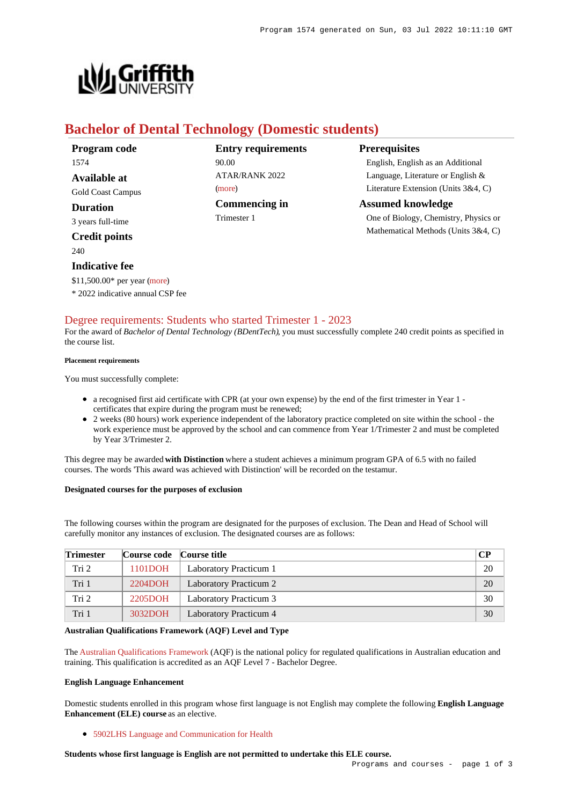

# **Bachelor of Dental Technology (Domestic students)**

| Program code             | <b>Entry requirements</b> | <b>Prerequisites</b>                  |
|--------------------------|---------------------------|---------------------------------------|
| 1574                     | 90.00                     | English, English as an Additional     |
| Available at             | <b>ATAR/RANK 2022</b>     | Language, Literature or English &     |
| <b>Gold Coast Campus</b> | (more)                    | Literature Extension (Units 3&4, C)   |
| Duration                 | <b>Commencing in</b>      | <b>Assumed knowledge</b>              |
| 3 years full-time        | Trimester 1               | One of Biology, Chemistry, Physics or |
| <b>Credit points</b>     |                           | Mathematical Methods (Units 3&4, C)   |

#### $240$

# **Indicative fee**

\$11,500.00\* per year [\(more](https://www148.griffith.edu.au/programs-courses/Program/1574/Overview/Domestic#fees))

\* 2022 indicative annual CSP fee

## [Degree requirements: Students who started Trimester 1 - 2023](https://www148.griffith.edu.au/programs-courses/Program/1574/Courses/Domestic#degree-requirements)

For the award of *Bachelor of Dental Technology (BDentTech)*, you must successfully complete 240 credit points as specified in the course list.

#### **Placement requirements**

You must successfully complete:

- a recognised first aid certificate with CPR (at your own expense) by the end of the first trimester in Year 1 certificates that expire during the program must be renewed;
- 2 weeks (80 hours) work experience independent of the laboratory practice completed on site within the school the work experience must be approved by the school and can commence from Year 1/Trimester 2 and must be completed by Year 3/Trimester 2.

This degree may be awarded **with Distinction** where a student achieves a minimum program GPA of 6.5 with no failed courses. The words 'This award was achieved with Distinction' will be recorded on the testamur.

## **Designated courses for the purposes of exclusion**

The following courses within the program are designated for the purposes of exclusion. The Dean and Head of School will carefully monitor any instances of exclusion. The designated courses are as follows:

| <b>Trimester</b> | Course code   Course title |                               | <b>CP</b> |
|------------------|----------------------------|-------------------------------|-----------|
| Tri 2            | 1101DOH                    | Laboratory Practicum 1        | 20        |
| Tri 1            | 2204DOH                    | Laboratory Practicum 2        | 20        |
| Tri 2            | 2205DOH                    | <b>Laboratory Practicum 3</b> | 30        |
| Tri 1            | 3032DOH                    | Laboratory Practicum 4        | 30        |

### **Australian Qualifications Framework (AQF) Level and Type**

The [Australian Qualifications Framework](http://www.aqf.edu.au/) (AQF) is the national policy for regulated qualifications in Australian education and training. This qualification is accredited as an AQF Level 7 - Bachelor Degree.

#### **English Language Enhancement**

Domestic students enrolled in this program whose first language is not English may complete the following **English Language Enhancement (ELE) course** as an elective.

[5902LHS Language and Communication for Health](https://www148.griffith.edu.au/Course/5902LHS)

## **Students whose first language is English are not permitted to undertake this ELE course.**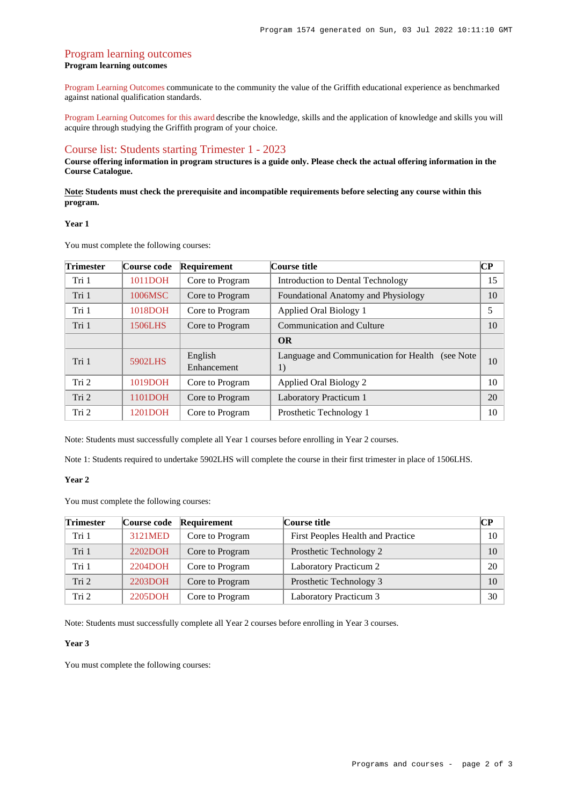## [Program learning outcomes](https://www148.griffith.edu.au/programs-courses/Program/1574/Courses/Domestic#programLearningOutcomes) **Program learning outcomes**

[Program Learning Outcomes](https://www.griffith.edu.au/__data/assets/pdf_file/0017/134522/PLO-general-advice.pdf) communicate to the community the value of the Griffith educational experience as benchmarked against national qualification standards.

[Program Learning Outcomes for this award](https://www.griffith.edu.au/__data/assets/pdf_file/0030/295617/BDental-Tech-PLO-L7.pdf) describe the knowledge, skills and the application of knowledge and skills you will acquire through studying the Griffith program of your choice.

## [Course list: Students starting Trimester 1 - 2023](https://www148.griffith.edu.au/programs-courses/Program/1574/Courses/Domestic#course-list-content)

**Course offering information in program structures is a guide only. Please check the actual offering information in the Course Catalogue.**

**Note: Students must check the prerequisite and incompatible requirements before selecting any course within this program.**

#### **Year 1**

You must complete the following courses:

| <b>Trimester</b> | Course code | Requirement            | Course title                                          | CР |
|------------------|-------------|------------------------|-------------------------------------------------------|----|
| Tri 1            | 1011DOH     | Core to Program        | Introduction to Dental Technology                     | 15 |
| Tri 1            | 1006MSC     | Core to Program        | Foundational Anatomy and Physiology                   | 10 |
| Tri 1            | 1018DOH     | Core to Program        | Applied Oral Biology 1                                | 5  |
| Tri 1            | 1506LHS     | Core to Program        | <b>Communication and Culture</b>                      | 10 |
|                  |             |                        | <b>OR</b>                                             |    |
| Tri 1            | 5902LHS     | English<br>Enhancement | Language and Communication for Health (see Note<br>1) | 10 |
| Tri 2            | 1019DOH     | Core to Program        | Applied Oral Biology 2                                | 10 |
| Tri 2            | 1101DOH     | Core to Program        | <b>Laboratory Practicum 1</b>                         | 20 |
| Tri 2            | 1201DOH     | Core to Program        | Prosthetic Technology 1                               | 10 |

Note: Students must successfully complete all Year 1 courses before enrolling in Year 2 courses.

Note 1: Students required to undertake 5902LHS will complete the course in their first trimester in place of 1506LHS.

#### **Year 2**

You must complete the following courses:

| Trimester | Course code | Requirement     | Course title                      | CР |
|-----------|-------------|-----------------|-----------------------------------|----|
| Tri 1     | 3121MED     | Core to Program | First Peoples Health and Practice | 10 |
| Tri 1     | 2202DOH     | Core to Program | Prosthetic Technology 2           | 10 |
| Tri 1     | 2204DOH     | Core to Program | Laboratory Practicum 2            | 20 |
| Tri 2     | 2203DOH     | Core to Program | Prosthetic Technology 3           | 10 |
| Tri 2     | 2205DOH     | Core to Program | Laboratory Practicum 3            | 30 |

Note: Students must successfully complete all Year 2 courses before enrolling in Year 3 courses.

#### **Year 3**

You must complete the following courses: